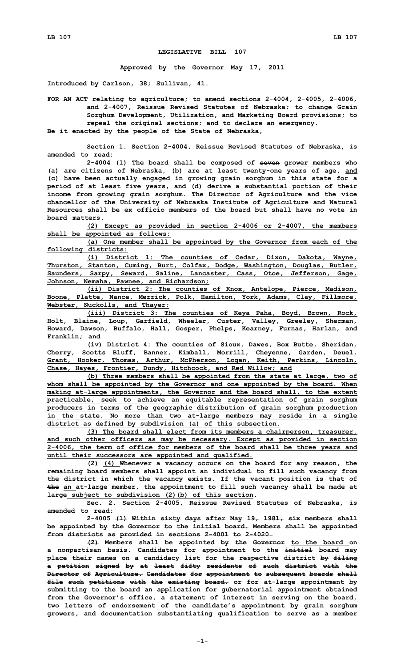## **LEGISLATIVE BILL 107**

**Approved by the Governor May 17, 2011**

**Introduced by Carlson, 38; Sullivan, 41.**

**FOR AN ACT relating to agriculture; to amend sections 2-4004, 2-4005, 2-4006, and 2-4007, Reissue Revised Statutes of Nebraska; to change Grain Sorghum Development, Utilization, and Marketing Board provisions; to repeal the original sections; and to declare an emergency. Be it enacted by the people of the State of Nebraska,**

**Section 1. Section 2-4004, Reissue Revised Statutes of Nebraska, is**

**amended to read:**

**2-4004 (1) The board shall be composed of seven grower members who (a) are citizens of Nebraska, (b) are at least twenty-one years of age, and (c) have been actually engaged in growing grain sorghum in this state for <sup>a</sup> period of at least five years, and (d) derive <sup>a</sup> substantial portion of their income from growing grain sorghum. The Director of Agriculture and the vice chancellor of the University of Nebraska Institute of Agriculture and Natural Resources shall be ex officio members of the board but shall have no vote in board matters.**

**(2) Except as provided in section 2-4006 or 2-4007, the members shall be appointed as follows:**

**(a) One member shall be appointed by the Governor from each of the following districts:**

**(i) District 1: The counties of Cedar, Dixon, Dakota, Wayne, Thurston, Stanton, Cuming, Burt, Colfax, Dodge, Washington, Douglas, Butler, Saunders, Sarpy, Seward, Saline, Lancaster, Cass, Otoe, Jefferson, Gage, Johnson, Nemaha, Pawnee, and Richardson;**

**(ii) District 2: The counties of Knox, Antelope, Pierce, Madison, Boone, Platte, Nance, Merrick, Polk, Hamilton, York, Adams, Clay, Fillmore, Webster, Nuckolls, and Thayer;**

**(iii) District 3: The counties of Keya Paha, Boyd, Brown, Rock, Holt, Blaine, Loup, Garfield, Wheeler, Custer, Valley, Greeley, Sherman, Howard, Dawson, Buffalo, Hall, Gosper, Phelps, Kearney, Furnas, Harlan, and Franklin; and**

**(iv) District 4: The counties of Sioux, Dawes, Box Butte, Sheridan, Cherry, Scotts Bluff, Banner, Kimball, Morrill, Cheyenne, Garden, Deuel, Grant, Hooker, Thomas, Arthur, McPherson, Logan, Keith, Perkins, Lincoln, Chase, Hayes, Frontier, Dundy, Hitchcock, and Red Willow; and**

**(b) Three members shall be appointed from the state at large, two of whom shall be appointed by the Governor and one appointed by the board. When making at-large appointments, the Governor and the board shall, to the extent practicable, seek to achieve an equitable representation of grain sorghum producers in terms of the geographic distribution of grain sorghum production in the state. No more than two at-large members may reside in <sup>a</sup> single district as defined by subdivision (a) of this subsection.**

**(3) The board shall elect from its members <sup>a</sup> chairperson, treasurer, and such other officers as may be necessary. Except as provided in section 2-4006, the term of office for members of the board shall be three years and until their successors are appointed and qualified.**

**(2) (4) Whenever <sup>a</sup> vacancy occurs on the board for any reason, the remaining board members shall appoint an individual to fill such vacancy from the district in which the vacancy exists. If the vacant position is that of the an at-large member, the appointment to fill such vacancy shall be made at large subject to subdivision (2)(b) of this section.**

**Sec. 2. Section 2-4005, Reissue Revised Statutes of Nebraska, is amended to read:**

**2-4005 (1) Within sixty days after May 19, 1981, six members shall be appointed by the Governor to the initial board. Members shall be appointed from districts as provided in sections 2-4001 to 2-4020.**

**(2) Members shall be appointed by the Governor to the board on <sup>a</sup> nonpartisan basis. Candidates for appointment to the initial board may place their names on <sup>a</sup> candidacy list for the respective district by filing <sup>a</sup> petition signed by at least fifty residents of such district with the Director of Agriculture. Candidates for appointment to subsequent boards shall file such petitions with the existing board. or for at-large appointment by submitting to the board an application for gubernatorial appointment obtained from the Governor's office, <sup>a</sup> statement of interest in serving on the board, two letters of endorsement of the candidate's appointment by grain sorghum growers, and documentation substantiating qualification to serve as <sup>a</sup> member**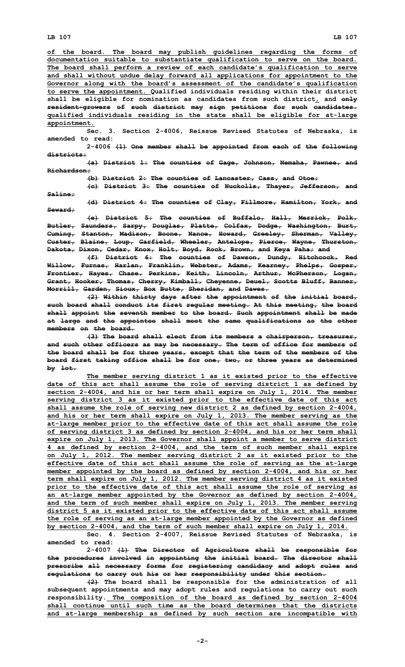**LB 107 LB 107**

**Saline;**

**of the board. The board may publish guidelines regarding the forms of documentation suitable to substantiate qualification to serve on the board. The board shall perform <sup>a</sup> review of each candidate's qualification to serve and shall without undue delay forward all applications for appointment to the Governor along with the board's assessment of the candidate's qualification to serve the appointment. Qualified individuals residing within their district shall be eligible for nomination as candidates from such district, and only resident-growers of such district may sign petitions for such candidates. qualified individuals residing in the state shall be eligible for at-large appointment.**

**Sec. 3. Section 2-4006, Reissue Revised Statutes of Nebraska, is amended to read:**

**2-4006 (1) One member shall be appointed from each of the following districts:**

**(a) District 1: The counties of Gage, Johnson, Nemaha, Pawnee, and Richardson;**

**(b) District 2: The counties of Lancaster, Cass, and Otoe;**

**(c) District 3: The counties of Nuckolls, Thayer, Jefferson, and**

**(d) District 4: The counties of Clay, Fillmore, Hamilton, York, and Seward;**

**(e) District 5: The counties of Buffalo, Hall, Merrick, Polk, Butler, Saunders, Sarpy, Douglas, Platte, Colfax, Dodge, Washington, Burt, Cuming, Stanton, Madison, Boone, Nance, Howard, Greeley, Sherman, Valley, Custer, Blaine, Loup, Garfield, Wheeler, Antelope, Pierce, Wayne, Thurston, Dakota, Dixon, Cedar, Knox, Holt, Boyd, Rock, Brown, and Keya Paha; and**

**(f) District 6: The counties of Dawson, Dundy, Hitchcock, Red Willow, Furnas, Harlan, Franklin, Webster, Adams, Kearney, Phelps, Gosper, Frontier, Hayes, Chase, Perkins, Keith, Lincoln, Arthur, McPherson, Logan, Grant, Hooker, Thomas, Cherry, Kimball, Cheyenne, Deuel, Scotts Bluff, Banner, Morrill, Garden, Sioux, Box Butte, Sheridan, and Dawes.**

**(2) Within thirty days after the appointment of the initial board, such board shall conduct its first regular meeting. At this meeting, the board shall appoint the seventh member to the board. Such appointment shall be made at large and the appointee shall meet the same qualifications as the other members on the board.**

**(3) The board shall elect from its members <sup>a</sup> chairperson, treasurer, and such other officers as may be necessary. The term of office for members of the board shall be for three years, except that the term of the members of the board first taking office shall be for one, two, or three years as determined by lot.**

**The member serving district 1 as it existed prior to the effective date of this act shall assume the role of serving district 1 as defined by section 2-4004, and his or her term shall expire on July 1, 2014. The member serving district 3 as it existed prior to the effective date of this act shall assume the role of serving new district 2 as defined by section 2-4004, and his or her term shall expire on July 1, 2013. The member serving as the at-large member prior to the effective date of this act shall assume the role of serving district 3 as defined by section 2-4004, and his or her term shall expire on July 1, 2013. The Governor shall appoint <sup>a</sup> member to serve district 4 as defined by section 2-4004, and the term of such member shall expire on July 1, 2012. The member serving district 2 as it existed prior to the effective date of this act shall assume the role of serving as the at-large member appointed by the board as defined by section 2-4004, and his or her term shall expire on July 1, 2012. The member serving district 4 as it existed prior to the effective date of this act shall assume the role of serving as an at-large member appointed by the Governor as defined by section 2-4004, and the term of such member shall expire on July 1, 2013. The member serving district 5 as it existed prior to the effective date of this act shall assume the role of serving as an at-large member appointed by the Governor as defined by section 2-4004, and the term of such member shall expire on July 1, 2014.**

**Sec. 4. Section 2-4007, Reissue Revised Statutes of Nebraska, is amended to read:**

**2-4007 (1) The Director of Agriculture shall be responsible for the procedures involved in appointing the initial board. The director shall prescribe all necessary forms for registering candidacy and adopt rules and regulations to carry out his or her responsibility under this section.**

**(2) The board shall be responsible for the administration of all subsequent appointments and may adopt rules and regulations to carry out such responsibility. The composition of the board as defined by section 2-4004 shall continue until such time as the board determines that the districts and at-large membership as defined by such section are incompatible with**